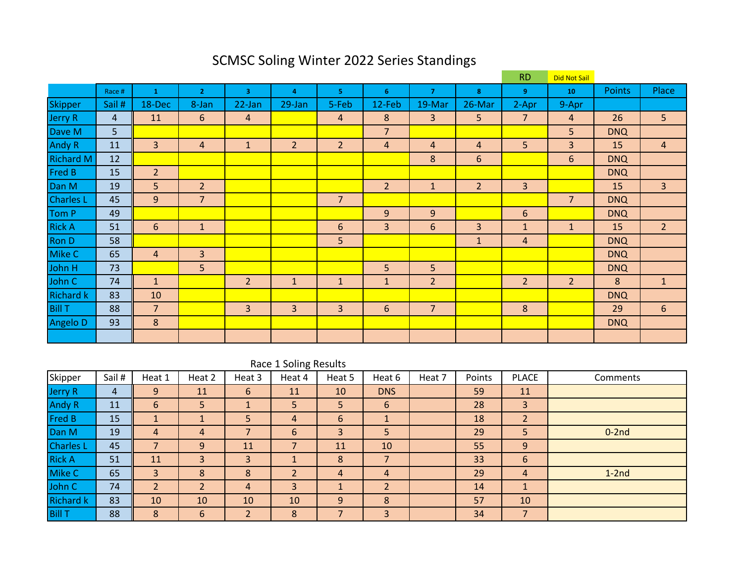|                  |                |                |                |                |                |                |                |                |                | <b>RD</b>      | Did Not Sail   |               |                |
|------------------|----------------|----------------|----------------|----------------|----------------|----------------|----------------|----------------|----------------|----------------|----------------|---------------|----------------|
|                  | Race #         | 1              | $\overline{2}$ | $\overline{3}$ | $\overline{a}$ | 5.             | 6              | $\overline{7}$ | 8              | 9              | 10             | <b>Points</b> | Place          |
| <b>Skipper</b>   | Sail #         | 18-Dec         | 8-Jan          | 22-Jan         | 29-Jan         | 5-Feb          | 12-Feb         | 19-Mar         | 26-Mar         | 2-Apr          | 9-Apr          |               |                |
| Jerry R          | $\overline{4}$ | 11             | 6              | $\overline{4}$ |                | $\overline{4}$ | 8              | $\overline{3}$ | 5              | $\overline{7}$ | $\overline{4}$ | 26            | 5              |
| Dave M           | 5              |                |                |                |                |                | $\overline{7}$ |                |                |                | 5              | <b>DNQ</b>    |                |
| Andy R           | 11             | 3              | 4              | $\mathbf{1}$   | $\overline{2}$ | $\overline{2}$ | $\overline{4}$ | $\overline{4}$ | $\overline{4}$ | 5              | 3              | 15            | 4              |
| <b>Richard M</b> | 12             |                |                |                |                |                |                | 8              | 6              |                | 6              | <b>DNQ</b>    |                |
| Fred B           | 15             | $\overline{2}$ |                |                |                |                |                |                |                |                |                | <b>DNQ</b>    |                |
| Dan M            | 19             | 5              | $\overline{2}$ |                |                |                | $\overline{2}$ | $\mathbf{1}$   | $\overline{2}$ | 3              |                | 15            | $\overline{3}$ |
| <b>Charles L</b> | 45             | 9              | $\overline{7}$ |                |                | $\overline{7}$ |                |                |                |                | $\overline{7}$ | <b>DNQ</b>    |                |
| Tom P            | 49             |                |                |                |                |                | 9              | 9              |                | 6              |                | <b>DNQ</b>    |                |
| <b>Rick A</b>    | 51             | $6\phantom{1}$ | $\mathbf{1}$   |                |                | 6              | $\overline{3}$ | 6              | $\overline{3}$ | $\mathbf{1}$   | $\mathbf{1}$   | 15            | 2 <sup>1</sup> |
| Ron D            | 58             |                |                |                |                | 5              |                |                | $\mathbf{1}$   | 4              |                | <b>DNQ</b>    |                |
| Mike C           | 65             | $\overline{4}$ | 3 <sup>1</sup> |                |                |                |                |                |                |                |                | <b>DNQ</b>    |                |
| John H           | 73             |                | 5              |                |                |                | 5              | 5              |                |                |                | <b>DNQ</b>    |                |
| John C           | 74             | $\mathbf{1}$   |                | $\overline{2}$ | $\mathbf{1}$   | $\mathbf{1}$   | $\mathbf{1}$   | $\overline{2}$ |                | $\overline{2}$ | $\overline{2}$ | 8             | $\mathbf{1}$   |
| <b>Richard k</b> | 83             | 10             |                |                |                |                |                |                |                |                |                | <b>DNQ</b>    |                |
| <b>Bill T</b>    | 88             | $\overline{7}$ |                | 3              | 3              | 3              | $\sqrt{6}$     | $\overline{7}$ |                | 8              |                | 29            | 6              |
| Angelo D         | 93             | 8              |                |                |                |                |                |                |                |                |                | <b>DNQ</b>    |                |
|                  |                |                |                |                |                |                |                |                |                |                |                |               |                |

# SCMSC Soling Winter 2022 Series Standings

|                  | Race 1 Soling Results |          |                |                   |                |        |                          |        |        |                 |          |  |  |  |
|------------------|-----------------------|----------|----------------|-------------------|----------------|--------|--------------------------|--------|--------|-----------------|----------|--|--|--|
| Skipper          | Sail #                | Heat 1   | Heat 2         | Heat 3            | Heat 4         | Heat 5 | Heat 6                   | Heat 7 | Points | <b>PLACE</b>    | Comments |  |  |  |
| <b>Jerry R</b>   | 4                     | 9        | 11             | 6                 | 11             | 10     | <b>DNS</b>               |        | 59     | 11              |          |  |  |  |
| <b>Andy R</b>    | 11                    | 6        | 5              |                   | 5              | 5      | 6                        |        | 28     | 3               |          |  |  |  |
| Fred B           | 15                    |          |                | 5                 | $\overline{4}$ | 6      |                          |        | 18     | $\overline{2}$  |          |  |  |  |
| Dan M            | 19                    | 4        | $\overline{4}$ |                   | 6              | 3      | 5                        |        | 29     | 5               | $0-2nd$  |  |  |  |
| <b>Charles L</b> | 45                    | ⇁        | 9              | 11                | ⇁              | 11     | 10                       |        | 55     | 9               |          |  |  |  |
| <b>Rick A</b>    | 51                    | 11       | 3              | 3                 |                | 8      | $\overline{\phantom{a}}$ |        | 33     | $6\phantom{1}6$ |          |  |  |  |
| Mike C           | 65                    | 3        | 8              | 8                 |                | 4      | 4                        |        | 29     | 4               | $1-2nd$  |  |  |  |
| John C           | 74                    | <u>ີ</u> | າ              | 4                 | 3              |        | $\overline{2}$           |        | 14     |                 |          |  |  |  |
| <b>Richard k</b> | 83                    | 10       | 10             | 10                | 10             | 9      | 8                        |        | 57     | 10              |          |  |  |  |
| <b>Bill T</b>    | 88                    | 8        | 6              | $\mathbf{D}$<br>L | 8              | ⇁      | 3                        |        | 34     | $\overline{7}$  |          |  |  |  |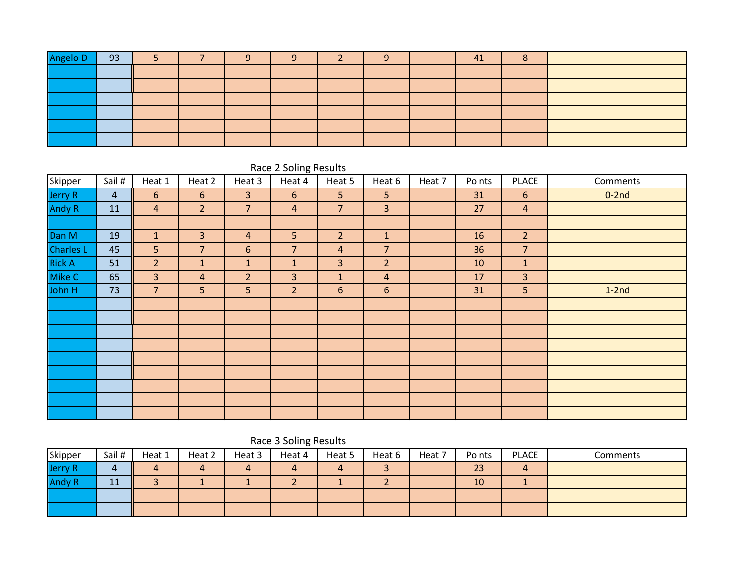| Angelo D | 93 |  | ∽ |  | - | 41 |  |
|----------|----|--|---|--|---|----|--|
|          |    |  |   |  |   |    |  |
|          |    |  |   |  |   |    |  |
|          |    |  |   |  |   |    |  |
|          |    |  |   |  |   |    |  |
|          |    |  |   |  |   |    |  |
|          |    |  |   |  |   |    |  |

|               |                |                |                |                | $\tilde{\phantom{a}}$ |                |                 |        |        |                |          |
|---------------|----------------|----------------|----------------|----------------|-----------------------|----------------|-----------------|--------|--------|----------------|----------|
| Skipper       | Sail #         | Heat 1         | Heat 2         | Heat 3         | Heat 4                | Heat 5         | Heat 6          | Heat 7 | Points | <b>PLACE</b>   | Comments |
| Jerry R       | $\overline{4}$ | 6              | 6              | 3              | 6                     | 5 <sup>1</sup> | 5 <sub>o</sub>  |        | 31     | 6              | $0-2nd$  |
| Andy R        | 11             | $\overline{4}$ | 2 <sup>1</sup> | $\overline{7}$ | $\overline{4}$        | $\overline{7}$ | $\overline{3}$  |        | 27     | $\overline{4}$ |          |
|               |                |                |                |                |                       |                |                 |        |        |                |          |
| Dan M         | 19             | $\mathbf 1$    | 3              | $\overline{4}$ | 5                     | 2 <sup>1</sup> | $\mathbf{1}$    |        | 16     | $\overline{2}$ |          |
| Charles L     | 45             | 5 <sub>o</sub> | $\overline{7}$ | $6\,$          | $\overline{7}$        | $\overline{4}$ | $\overline{7}$  |        | 36     | $\overline{7}$ |          |
| <b>Rick A</b> | 51             | $\overline{2}$ | $\mathbf{1}$   | $\mathbf{1}$   | $\mathbf{1}$          | $\overline{3}$ | 2 <sup>2</sup>  |        | 10     | 1              |          |
| Mike C        | 65             | $\overline{3}$ | $\overline{a}$ | 2 <sup>1</sup> | $\overline{3}$        | $\mathbf{1}$   | $\overline{4}$  |        | 17     | $\overline{3}$ |          |
| John H        | 73             | $\overline{7}$ | 5              | 5              | $\overline{2}$        | $6\phantom{1}$ | $6\phantom{1}6$ |        | 31     | 5              | $1-2nd$  |
|               |                |                |                |                |                       |                |                 |        |        |                |          |
|               |                |                |                |                |                       |                |                 |        |        |                |          |
|               |                |                |                |                |                       |                |                 |        |        |                |          |
|               |                |                |                |                |                       |                |                 |        |        |                |          |
|               |                |                |                |                |                       |                |                 |        |        |                |          |
|               |                |                |                |                |                       |                |                 |        |        |                |          |
|               |                |                |                |                |                       |                |                 |        |        |                |          |
|               |                |                |                |                |                       |                |                 |        |        |                |          |
|               |                |                |                |                |                       |                |                 |        |        |                |          |

### Race 2 Soling Results

## Race 3 Soling Results

| Skipper       | Sail #    | Heat 1 | Heat 2 | Heat 3 | Heat 4 | Heat 5 | Heat 6 | Heat 7 | Points | <b>PLACE</b> | Comments |
|---------------|-----------|--------|--------|--------|--------|--------|--------|--------|--------|--------------|----------|
| Jerry R       |           |        |        |        |        |        |        |        | 23     | 4            |          |
| <b>Andy R</b> | 11<br>. . |        |        |        |        |        |        |        | 10     |              |          |
|               |           |        |        |        |        |        |        |        |        |              |          |
|               |           |        |        |        |        |        |        |        |        |              |          |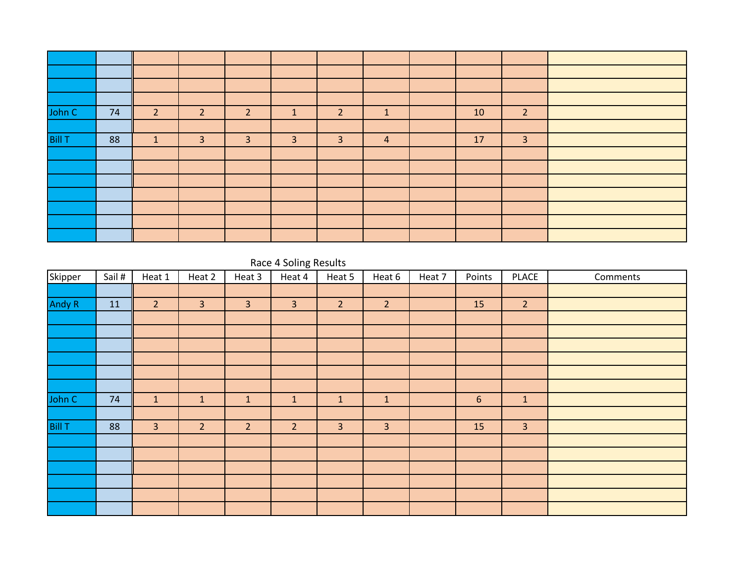| John C        | 74 | 2            | $\overline{2}$ | $\overline{2}$ | ٠              | $\overline{2}$ | 1 | 10 | $\overline{2}$ |  |
|---------------|----|--------------|----------------|----------------|----------------|----------------|---|----|----------------|--|
|               |    |              |                |                |                |                |   |    |                |  |
| <b>Bill T</b> | 88 | $\mathbf{1}$ | 3              | 3              | $\overline{3}$ | 3              | 4 | 17 | $\overline{3}$ |  |
|               |    |              |                |                |                |                |   |    |                |  |
|               |    |              |                |                |                |                |   |    |                |  |
|               |    |              |                |                |                |                |   |    |                |  |
|               |    |              |                |                |                |                |   |    |                |  |
|               |    |              |                |                |                |                |   |    |                |  |
|               |    |              |                |                |                |                |   |    |                |  |
|               |    |              |                |                |                |                |   |    |                |  |

### Race 4 Soling Results

| Skipper       | Sail # | Heat 1         | Heat 2         | Heat 3         | Heat 4         | Heat 5         | Heat 6         | Heat 7 | Points | <b>PLACE</b>   | Comments |
|---------------|--------|----------------|----------------|----------------|----------------|----------------|----------------|--------|--------|----------------|----------|
|               |        |                |                |                |                |                |                |        |        |                |          |
| <b>Andy R</b> | 11     | $\overline{2}$ | $\overline{3}$ | $\overline{3}$ | $\overline{3}$ | 2 <sup>1</sup> | $\overline{2}$ |        | 15     | 2 <sup>2</sup> |          |
|               |        |                |                |                |                |                |                |        |        |                |          |
|               |        |                |                |                |                |                |                |        |        |                |          |
|               |        |                |                |                |                |                |                |        |        |                |          |
|               |        |                |                |                |                |                |                |        |        |                |          |
|               |        |                |                |                |                |                |                |        |        |                |          |
|               |        |                |                |                |                |                |                |        |        |                |          |
| John C        | 74     | $\mathbf{1}$   | $\mathbf{1}$   | $\mathbf{1}$   | $\mathbf{1}$   | $\mathbf{1}$   | $\mathbf{1}$   |        | 6      | $\mathbf{1}$   |          |
|               |        |                |                |                |                |                |                |        |        |                |          |
| <b>Bill T</b> | 88     | $\overline{3}$ | 2 <sup>2</sup> | $\overline{2}$ | $\overline{2}$ | $\overline{3}$ | $\overline{3}$ |        | 15     | $\overline{3}$ |          |
|               |        |                |                |                |                |                |                |        |        |                |          |
|               |        |                |                |                |                |                |                |        |        |                |          |
|               |        |                |                |                |                |                |                |        |        |                |          |
|               |        |                |                |                |                |                |                |        |        |                |          |
|               |        |                |                |                |                |                |                |        |        |                |          |
|               |        |                |                |                |                |                |                |        |        |                |          |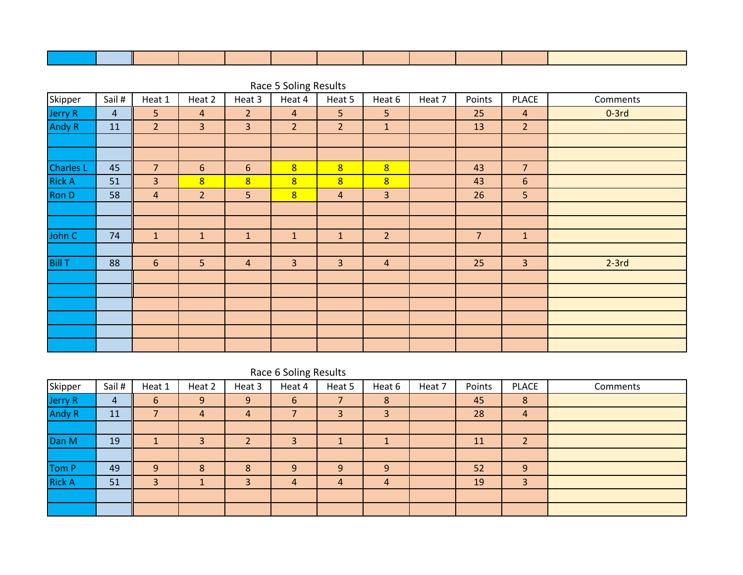|                  |                |                |                |                | nace o oomig neoano |                |                |        |                |                |          |
|------------------|----------------|----------------|----------------|----------------|---------------------|----------------|----------------|--------|----------------|----------------|----------|
| Skipper          | Sail #         | Heat 1         | Heat 2         | Heat 3         | Heat 4              | Heat 5         | Heat 6         | Heat 7 | Points         | PLACE          | Comments |
| Jerry R          | $\overline{4}$ | 5 <sup>1</sup> | $\overline{4}$ | 2 <sup>1</sup> | $\overline{4}$      | 5 <sup>1</sup> | 5 <sup>1</sup> |        | 25             | $\overline{4}$ | $0-3rd$  |
| Andy R           | 11             | 2 <sup>1</sup> | $\overline{3}$ | $\overline{3}$ | 2 <sup>1</sup>      | 2 <sup>1</sup> | $\mathbf{1}$   |        | 13             | 2 <sup>1</sup> |          |
|                  |                |                |                |                |                     |                |                |        |                |                |          |
|                  |                |                |                |                |                     |                |                |        |                |                |          |
| <b>Charles L</b> | 45             | $\overline{7}$ | 6              | 6              | 8                   | 8              | 8              |        | 43             | $\overline{7}$ |          |
| <b>Rick A</b>    | 51             | $\overline{3}$ | 8              | 8 <sup>2</sup> | 8                   | 8              | 8              |        | 43             | $6\phantom{1}$ |          |
| Ron D            | 58             | $\overline{a}$ | $\overline{2}$ | 5              | 8                   | $\overline{4}$ | $\overline{3}$ |        | 26             | 5 <sup>1</sup> |          |
|                  |                |                |                |                |                     |                |                |        |                |                |          |
|                  |                |                |                |                |                     |                |                |        |                |                |          |
| John C           | 74             | $\mathbf{1}$   | $\mathbf{1}$   | $\mathbf{1}$   | $\mathbf{1}$        | $\mathbf{1}$   | $\overline{2}$ |        | $\overline{7}$ | $\mathbf{1}$   |          |
|                  |                |                |                |                |                     |                |                |        |                |                |          |
| <b>Bill T</b>    | 88             | 6              | 5              | $\overline{a}$ | $\overline{3}$      | $\overline{3}$ | $\overline{4}$ |        | 25             | $\overline{3}$ | $2-3rd$  |
|                  |                |                |                |                |                     |                |                |        |                |                |          |
|                  |                |                |                |                |                     |                |                |        |                |                |          |
|                  |                |                |                |                |                     |                |                |        |                |                |          |
|                  |                |                |                |                |                     |                |                |        |                |                |          |
|                  |                |                |                |                |                     |                |                |        |                |                |          |
|                  |                |                |                |                |                     |                |                |        |                |                |          |

Race 5 Soling Results

|  |  |  | Race 6 Soling Results |
|--|--|--|-----------------------|
|--|--|--|-----------------------|

| Skipper       | Sail # | Heat 1 | Heat 2 | Heat 3 | Heat 4         | Heat 5 | Heat 6         | Heat 7 | Points | <b>PLACE</b>               | Comments |
|---------------|--------|--------|--------|--------|----------------|--------|----------------|--------|--------|----------------------------|----------|
| Jerry R       | 4      | 6      | 9      | 9      | 6              | 7      | 8              |        | 45     | 8                          |          |
| <b>Andy R</b> | 11     | -      | 4      | 4      |                |        | 3              |        | 28     | 4                          |          |
|               |        |        |        |        |                |        |                |        |        |                            |          |
| Dan M         | 19     |        | 3      |        | 3              |        |                |        | 11     | $\mathbf{D}$<br>$\epsilon$ |          |
|               |        |        |        |        |                |        |                |        |        |                            |          |
| Tom P         | 49     | 9      | 8      | 8      | 9              | 9      | 9              |        | 52     | 9                          |          |
| <b>Rick A</b> | 51     | 3      |        |        | $\overline{4}$ | 4      | $\overline{4}$ |        | 19     | 3                          |          |
|               |        |        |        |        |                |        |                |        |        |                            |          |
|               |        |        |        |        |                |        |                |        |        |                            |          |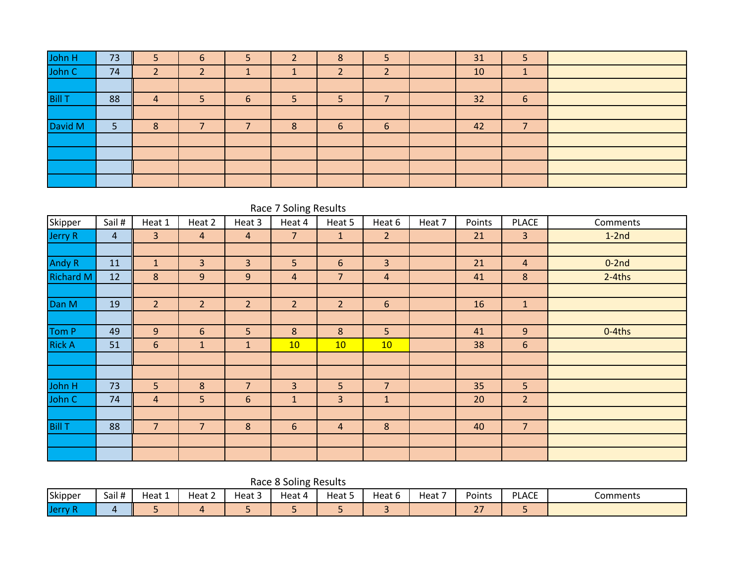| John H<br>John C | 73 |   | 6 |   |   | 8 |   | 31 | Ь  |  |
|------------------|----|---|---|---|---|---|---|----|----|--|
|                  | 74 |   |   |   |   |   |   | 10 | л. |  |
|                  |    |   |   |   |   |   |   |    |    |  |
| <b>Bill T</b>    | 88 | 4 |   | 6 |   |   |   | 32 | 6  |  |
|                  |    |   |   |   |   |   |   |    |    |  |
| David M          | 5  | 8 |   |   | 8 | 6 | 6 | 42 |    |  |
|                  |    |   |   |   |   |   |   |    |    |  |
|                  |    |   |   |   |   |   |   |    |    |  |
|                  |    |   |   |   |   |   |   |    |    |  |
|                  |    |   |   |   |   |   |   |    |    |  |

|                  | Race 7 Soling Results |                 |                |                |                |                |                |        |        |                |           |  |  |  |
|------------------|-----------------------|-----------------|----------------|----------------|----------------|----------------|----------------|--------|--------|----------------|-----------|--|--|--|
| Skipper          | Sail #                | Heat 1          | Heat 2         | Heat 3         | Heat 4         | Heat 5         | Heat 6         | Heat 7 | Points | <b>PLACE</b>   | Comments  |  |  |  |
| Jerry R          | $\overline{4}$        | 3               | $\overline{4}$ | $\overline{a}$ | 7              | $\mathbf{1}$   | $\overline{2}$ |        | 21     | $\overline{3}$ | $1-2nd$   |  |  |  |
|                  |                       |                 |                |                |                |                |                |        |        |                |           |  |  |  |
| Andy R           | 11                    | $\mathbf{1}$    | $\overline{3}$ | 3              | 5              | $6\phantom{1}$ | $\overline{3}$ |        | 21     | $\overline{4}$ | $0-2nd$   |  |  |  |
| <b>Richard M</b> | 12                    | 8               | 9              | 9              | $\overline{4}$ | $\overline{7}$ | $\overline{4}$ |        | 41     | $8\phantom{1}$ | $2-4$ ths |  |  |  |
|                  |                       |                 |                |                |                |                |                |        |        |                |           |  |  |  |
| Dan M            | 19                    | $\overline{2}$  | 2 <sup>1</sup> | $\overline{2}$ | $\overline{2}$ | 2 <sup>2</sup> | $6\phantom{1}$ |        | 16     | $\mathbf{1}$   |           |  |  |  |
|                  |                       |                 |                |                |                |                |                |        |        |                |           |  |  |  |
| Tom P            | 49                    | $\overline{9}$  | 6              | 5              | 8              | 8              | 5 <sup>1</sup> |        | 41     | 9              | $0-4$ ths |  |  |  |
| <b>Rick A</b>    | 51                    | $6\phantom{.}6$ | $\mathbf{1}$   | $\mathbf{1}$   | 10             | 10             | 10             |        | 38     | 6              |           |  |  |  |
|                  |                       |                 |                |                |                |                |                |        |        |                |           |  |  |  |
|                  |                       |                 |                |                |                |                |                |        |        |                |           |  |  |  |
| John H           | 73                    | 5 <sup>1</sup>  | $\bf 8$        | $\overline{7}$ | $\overline{3}$ | 5              | $\overline{7}$ |        | 35     | 5 <sup>1</sup> |           |  |  |  |
| John C           | 74                    | $\overline{4}$  | 5              | $6\phantom{1}$ | $\mathbf{1}$   | 3              | $\mathbf{1}$   |        | 20     | 2 <sup>2</sup> |           |  |  |  |
|                  |                       |                 |                |                |                |                |                |        |        |                |           |  |  |  |
| <b>Bill T</b>    | 88                    | $\overline{7}$  | $\overline{7}$ | 8              | 6              | $\overline{4}$ | $\bf 8$        |        | 40     | $\overline{7}$ |           |  |  |  |
|                  |                       |                 |                |                |                |                |                |        |        |                |           |  |  |  |
|                  |                       |                 |                |                |                |                |                |        |        |                |           |  |  |  |

Race 8 Soling Results

| Skipper       | Sail # | Heat <sub>r</sub> | $\overline{\phantom{0}}$<br>Heat 2 | $\overline{\phantom{a}}$<br>Heat 5 | Heat 4 | Heat 5 | Heat 6 | $\overline{\phantom{a}}$<br>Heat | Points            | <b>PLACE</b> | Comments |
|---------------|--------|-------------------|------------------------------------|------------------------------------|--------|--------|--------|----------------------------------|-------------------|--------------|----------|
| <b>IJerry</b> |        |                   |                                    |                                    |        |        |        |                                  | $\sim$ $-$<br>$-$ | $\sim$       |          |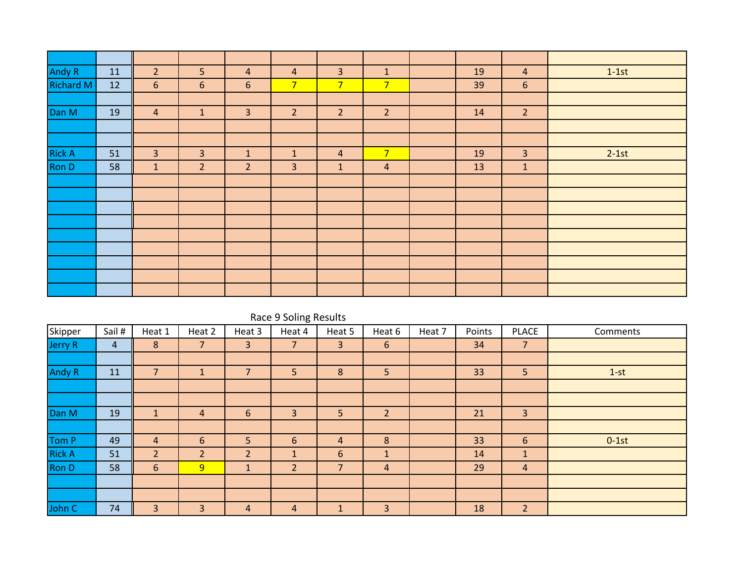| <b>Andy R</b>    | 11 | $\overline{2}$ | 5 <sup>1</sup> | $\overline{4}$ | $\overline{a}$ | $\mathbf{3}$    | $\mathbf{1}$   | 19 | $\overline{4}$ | $1-1st$ |
|------------------|----|----------------|----------------|----------------|----------------|-----------------|----------------|----|----------------|---------|
| <b>Richard M</b> | 12 | $6\phantom{1}$ | 6              | 6              | 7 <sup>2</sup> | $7\overline{ }$ | 7 <sup>1</sup> | 39 | 6              |         |
|                  |    |                |                |                |                |                 |                |    |                |         |
| Dan M            | 19 | $\overline{4}$ | $\mathbf{1}$   | $\overline{3}$ | 2 <sup>2</sup> | 2 <sup>1</sup>  | $\overline{2}$ | 14 | $\overline{2}$ |         |
|                  |    |                |                |                |                |                 |                |    |                |         |
|                  |    |                |                |                |                |                 |                |    |                |         |
| <b>Rick A</b>    | 51 | $\overline{3}$ | $\overline{3}$ | $\mathbf{1}$   | $\mathbf{1}$   | $\overline{4}$  | 7 <sup>2</sup> | 19 | $\overline{3}$ | $2-1st$ |
| <b>Ron D</b>     | 58 | $\mathbf{1}$   | 2 <sup>2</sup> | $\overline{2}$ | $\overline{3}$ | $\mathbf{1}$    | $\overline{4}$ | 13 | $\mathbf 1$    |         |
|                  |    |                |                |                |                |                 |                |    |                |         |
|                  |    |                |                |                |                |                 |                |    |                |         |
|                  |    |                |                |                |                |                 |                |    |                |         |
|                  |    |                |                |                |                |                 |                |    |                |         |
|                  |    |                |                |                |                |                 |                |    |                |         |
|                  |    |                |                |                |                |                 |                |    |                |         |
|                  |    |                |                |                |                |                 |                |    |                |         |
|                  |    |                |                |                |                |                 |                |    |                |         |
|                  |    |                |                |                |                |                 |                |    |                |         |

|               | Race 9 Soling Results |                |                 |                          |                |                |                |        |        |                |          |  |  |  |
|---------------|-----------------------|----------------|-----------------|--------------------------|----------------|----------------|----------------|--------|--------|----------------|----------|--|--|--|
| Skipper       | Sail #                | Heat 1         | Heat 2          | Heat 3                   | Heat 4         | Heat 5         | Heat 6         | Heat 7 | Points | <b>PLACE</b>   | Comments |  |  |  |
| Jerry R       | 4                     | 8              | $\overline{7}$  | 3                        | 7              | 3              | 6              |        | 34     | $\overline{7}$ |          |  |  |  |
|               |                       |                |                 |                          |                |                |                |        |        |                |          |  |  |  |
| <b>Andy R</b> | 11                    | $\overline{7}$ | $\mathbf 1$     | $\overline{\phantom{a}}$ | 5              | 8              | 5              |        | 33     | 5 <sup>1</sup> | $1-st$   |  |  |  |
|               |                       |                |                 |                          |                |                |                |        |        |                |          |  |  |  |
|               |                       |                |                 |                          |                |                |                |        |        |                |          |  |  |  |
| Dan M         | 19                    | $\mathbf{1}$   | 4               | 6                        | 3              | 5              | $\overline{2}$ |        | 21     | 3              |          |  |  |  |
|               |                       |                |                 |                          |                |                |                |        |        |                |          |  |  |  |
| Tom P         | 49                    | $\overline{a}$ | $6\phantom{1}6$ | 5                        | 6              | 4              | 8              |        | 33     | 6              | $0-1st$  |  |  |  |
| <b>Rick A</b> | 51                    | $\overline{2}$ | $\overline{2}$  | $\overline{2}$           | $\mathbf{1}$   | 6              | $\mathbf{1}$   |        | 14     | $\mathbf{1}$   |          |  |  |  |
| <b>Ron D</b>  | 58                    | 6              | $\overline{9}$  | $\mathbf{1}$             | $\overline{2}$ | $\overline{7}$ | 4              |        | 29     | 4              |          |  |  |  |
|               |                       |                |                 |                          |                |                |                |        |        |                |          |  |  |  |
|               |                       |                |                 |                          |                |                |                |        |        |                |          |  |  |  |
| John C        | 74                    | 3              | 3               | 4                        | $\overline{4}$ | 1              | 3              |        | 18     | $\overline{2}$ |          |  |  |  |
|               |                       |                |                 |                          |                |                |                |        |        |                |          |  |  |  |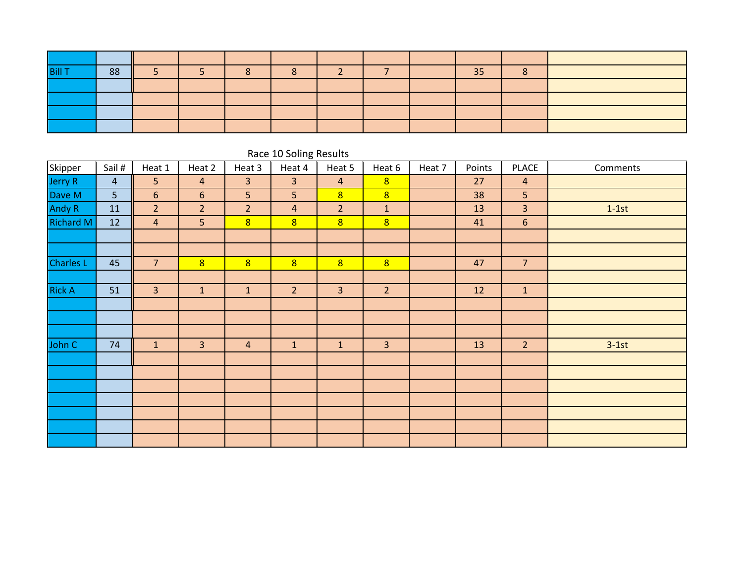| <b>Bill 1</b> | 88 |  | ∽ |  |  | 35 |  |
|---------------|----|--|---|--|--|----|--|
|               |    |  |   |  |  |    |  |
|               |    |  |   |  |  |    |  |
|               |    |  |   |  |  |    |  |
|               |    |  |   |  |  |    |  |

|                  | Race ID Solling Results |                |                |                |                |                |                |        |        |                |          |  |  |  |
|------------------|-------------------------|----------------|----------------|----------------|----------------|----------------|----------------|--------|--------|----------------|----------|--|--|--|
| Skipper          | Sail #                  | Heat 1         | Heat 2         | Heat 3         | Heat 4         | Heat 5         | Heat 6         | Heat 7 | Points | <b>PLACE</b>   | Comments |  |  |  |
| Jerry R          | $\overline{4}$          | 5 <sup>1</sup> | $\overline{4}$ | $\overline{3}$ | $\overline{3}$ | $\overline{4}$ | 8              |        | 27     | $\overline{4}$ |          |  |  |  |
| Dave M           | 5 <sub>1</sub>          | $6\phantom{1}$ | $6\phantom{a}$ | 5              | 5 <sup>1</sup> | 8 <sup>1</sup> | 8              |        | 38     | 5              |          |  |  |  |
| Andy R           | 11                      | 2 <sup>2</sup> | $\overline{2}$ | $\overline{2}$ | $\overline{4}$ | $\overline{2}$ | $\mathbf{1}$   |        | 13     | $\overline{3}$ | $1-1st$  |  |  |  |
| <b>Richard M</b> | 12                      | $\overline{4}$ | 5              | $\overline{8}$ | 8              | 8 <sup>2</sup> | 8              |        | 41     | 6              |          |  |  |  |
|                  |                         |                |                |                |                |                |                |        |        |                |          |  |  |  |
|                  |                         |                |                |                |                |                |                |        |        |                |          |  |  |  |
| <b>Charles L</b> | 45                      | $\overline{7}$ | 8 <sup>1</sup> | 8              | 8              | 8 <sup>2</sup> | 8              |        | 47     | $\overline{7}$ |          |  |  |  |
|                  |                         |                |                |                |                |                |                |        |        |                |          |  |  |  |
| <b>Rick A</b>    | 51                      | $\overline{3}$ | $\mathbf{1}$   | $\mathbf{1}$   | 2 <sup>2</sup> | $\overline{3}$ | $\overline{2}$ |        | 12     | $\mathbf{1}$   |          |  |  |  |
|                  |                         |                |                |                |                |                |                |        |        |                |          |  |  |  |
|                  |                         |                |                |                |                |                |                |        |        |                |          |  |  |  |
|                  |                         |                |                |                |                |                |                |        |        |                |          |  |  |  |
| John C           | 74                      | $\mathbf{1}$   | 3              | $\overline{4}$ | $\mathbf{1}$   | $\mathbf{1}$   | 3              |        | 13     | 2 <sup>2</sup> | $3-1st$  |  |  |  |
|                  |                         |                |                |                |                |                |                |        |        |                |          |  |  |  |
|                  |                         |                |                |                |                |                |                |        |        |                |          |  |  |  |
|                  |                         |                |                |                |                |                |                |        |        |                |          |  |  |  |
|                  |                         |                |                |                |                |                |                |        |        |                |          |  |  |  |
|                  |                         |                |                |                |                |                |                |        |        |                |          |  |  |  |
|                  |                         |                |                |                |                |                |                |        |        |                |          |  |  |  |
|                  |                         |                |                |                |                |                |                |        |        |                |          |  |  |  |

#### Race 10 Soling Results